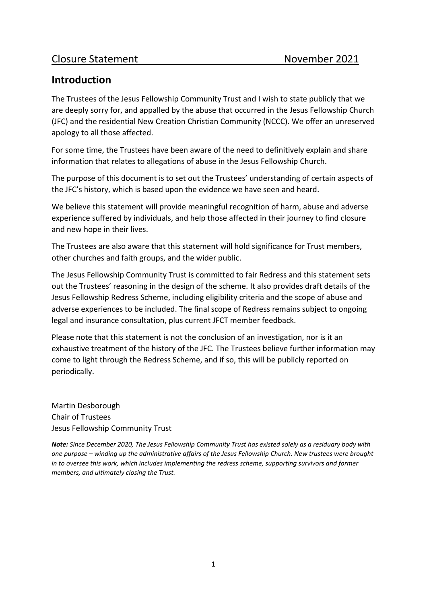# **Introduction**

The Trustees of the Jesus Fellowship Community Trust and I wish to state publicly that we are deeply sorry for, and appalled by the abuse that occurred in the Jesus Fellowship Church (JFC) and the residential New Creation Christian Community (NCCC). We offer an unreserved apology to all those affected.

For some time, the Trustees have been aware of the need to definitively explain and share information that relates to allegations of abuse in the Jesus Fellowship Church.

The purpose of this document is to set out the Trustees' understanding of certain aspects of the JFC's history, which is based upon the evidence we have seen and heard.

We believe this statement will provide meaningful recognition of harm, abuse and adverse experience suffered by individuals, and help those affected in their journey to find closure and new hope in their lives.

The Trustees are also aware that this statement will hold significance for Trust members, other churches and faith groups, and the wider public.

The Jesus Fellowship Community Trust is committed to fair Redress and this statement sets out the Trustees' reasoning in the design of the scheme. It also provides draft details of the Jesus Fellowship Redress Scheme, including eligibility criteria and the scope of abuse and adverse experiences to be included. The final scope of Redress remains subject to ongoing legal and insurance consultation, plus current JFCT member feedback.

Please note that this statement is not the conclusion of an investigation, nor is it an exhaustive treatment of the history of the JFC. The Trustees believe further information may come to light through the Redress Scheme, and if so, this will be publicly reported on periodically.

Martin Desborough Chair of Trustees Jesus Fellowship Community Trust

*Note: Since December 2020, The Jesus Fellowship Community Trust has existed solely as a residuary body with one purpose – winding up the administrative affairs of the Jesus Fellowship Church. New trustees were brought in to oversee this work, which includes implementing the redress scheme, supporting survivors and former members, and ultimately closing the Trust.*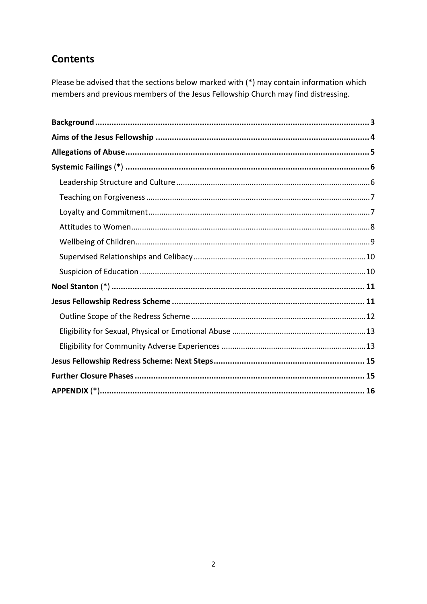# **Contents**

Please be advised that the sections below marked with (\*) may contain information which members and previous members of the Jesus Fellowship Church may find distressing.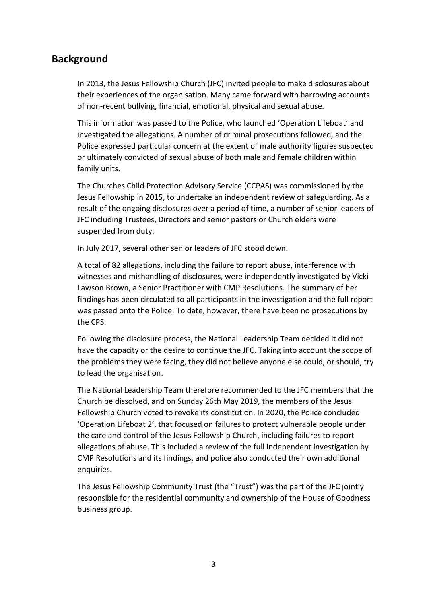## <span id="page-2-0"></span>**Background**

In 2013, the Jesus Fellowship Church (JFC) invited people to make disclosures about their experiences of the organisation. Many came forward with harrowing accounts of non-recent bullying, financial, emotional, physical and sexual abuse.

This information was passed to the Police, who launched 'Operation Lifeboat' and investigated the allegations. A number of criminal prosecutions followed, and the Police expressed particular concern at the extent of male authority figures suspected or ultimately convicted of sexual abuse of both male and female children within family units.

The Churches Child Protection Advisory Service (CCPAS) was commissioned by the Jesus Fellowship in 2015, to undertake an independent review of safeguarding. As a result of the ongoing disclosures over a period of time, a number of senior leaders of JFC including Trustees, Directors and senior pastors or Church elders were suspended from duty.

In July 2017, several other senior leaders of JFC stood down.

A total of 82 allegations, including the failure to report abuse, interference with witnesses and mishandling of disclosures, were independently investigated by Vicki Lawson Brown, a Senior Practitioner with CMP Resolutions. The summary of her findings has been circulated to all participants in the investigation and the full report was passed onto the Police. To date, however, there have been no prosecutions by the CPS.

Following the disclosure process, the National Leadership Team decided it did not have the capacity or the desire to continue the JFC. Taking into account the scope of the problems they were facing, they did not believe anyone else could, or should, try to lead the organisation.

The National Leadership Team therefore recommended to the JFC members that the Church be dissolved, and on Sunday 26th May 2019, the members of the Jesus Fellowship Church voted to revoke its constitution. In 2020, the Police concluded 'Operation Lifeboat 2', that focused on failures to protect vulnerable people under the care and control of the Jesus Fellowship Church, including failures to report allegations of abuse. This included a review of the full independent investigation by CMP Resolutions and its findings, and police also conducted their own additional enquiries.

The Jesus Fellowship Community Trust (the "Trust") was the part of the JFC jointly responsible for the residential community and ownership of the House of Goodness business group.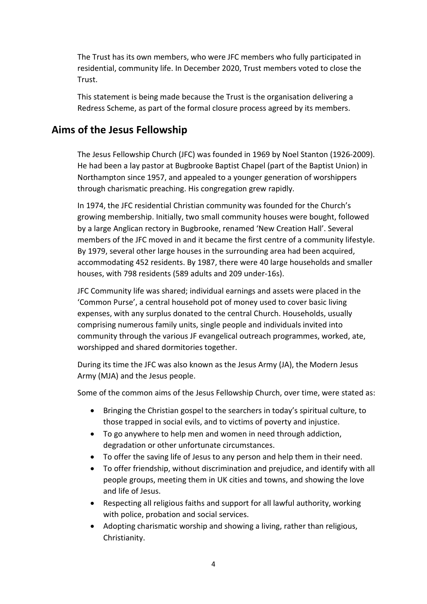The Trust has its own members, who were JFC members who fully participated in residential, community life. In December 2020, Trust members voted to close the Trust.

This statement is being made because the Trust is the organisation delivering a Redress Scheme, as part of the formal closure process agreed by its members.

## <span id="page-3-0"></span>**Aims of the Jesus Fellowship**

The Jesus Fellowship Church (JFC) was founded in 1969 by Noel Stanton (1926-2009). He had been a lay pastor at Bugbrooke Baptist Chapel (part of the Baptist Union) in Northampton since 1957, and appealed to a younger generation of worshippers through charismatic preaching. His congregation grew rapidly.

In 1974, the JFC residential Christian community was founded for the Church's growing membership. Initially, two small community houses were bought, followed by a large Anglican rectory in Bugbrooke, renamed 'New Creation Hall'. Several members of the JFC moved in and it became the first centre of a community lifestyle. By 1979, several other large houses in the surrounding area had been acquired, accommodating 452 residents. By 1987, there were 40 large households and smaller houses, with 798 residents (589 adults and 209 under-16s).

JFC Community life was shared; individual earnings and assets were placed in the 'Common Purse', a central household pot of money used to cover basic living expenses, with any surplus donated to the central Church. Households, usually comprising numerous family units, single people and individuals invited into community through the various JF evangelical outreach programmes, worked, ate, worshipped and shared dormitories together.

During its time the JFC was also known as the Jesus Army (JA), the Modern Jesus Army (MJA) and the Jesus people.

Some of the common aims of the Jesus Fellowship Church, over time, were stated as:

- Bringing the Christian gospel to the searchers in today's spiritual culture, to those trapped in social evils, and to victims of poverty and injustice.
- To go anywhere to help men and women in need through addiction, degradation or other unfortunate circumstances.
- To offer the saving life of Jesus to any person and help them in their need.
- To offer friendship, without discrimination and prejudice, and identify with all people groups, meeting them in UK cities and towns, and showing the love and life of Jesus.
- Respecting all religious faiths and support for all lawful authority, working with police, probation and social services.
- Adopting charismatic worship and showing a living, rather than religious, Christianity.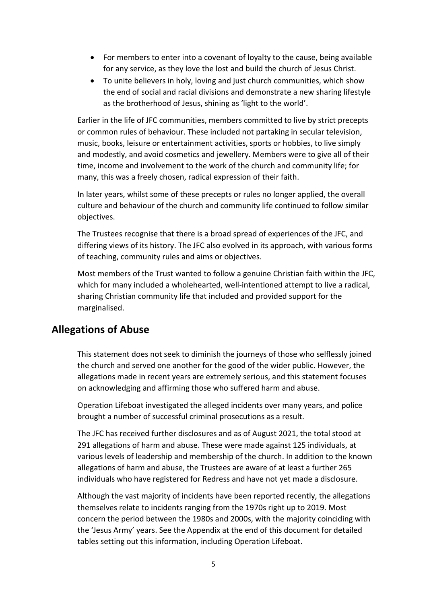- For members to enter into a covenant of loyalty to the cause, being available for any service, as they love the lost and build the church of Jesus Christ.
- To unite believers in holy, loving and just church communities, which show the end of social and racial divisions and demonstrate a new sharing lifestyle as the brotherhood of Jesus, shining as 'light to the world'.

Earlier in the life of JFC communities, members committed to live by strict precepts or common rules of behaviour. These included not partaking in secular television, music, books, leisure or entertainment activities, sports or hobbies, to live simply and modestly, and avoid cosmetics and jewellery. Members were to give all of their time, income and involvement to the work of the church and community life; for many, this was a freely chosen, radical expression of their faith.

In later years, whilst some of these precepts or rules no longer applied, the overall culture and behaviour of the church and community life continued to follow similar objectives.

The Trustees recognise that there is a broad spread of experiences of the JFC, and differing views of its history. The JFC also evolved in its approach, with various forms of teaching, community rules and aims or objectives.

Most members of the Trust wanted to follow a genuine Christian faith within the JFC, which for many included a wholehearted, well-intentioned attempt to live a radical, sharing Christian community life that included and provided support for the marginalised.

## <span id="page-4-0"></span>**Allegations of Abuse**

This statement does not seek to diminish the journeys of those who selflessly joined the church and served one another for the good of the wider public. However, the allegations made in recent years are extremely serious, and this statement focuses on acknowledging and affirming those who suffered harm and abuse.

Operation Lifeboat investigated the alleged incidents over many years, and police brought a number of successful criminal prosecutions as a result.

The JFC has received further disclosures and as of August 2021, the total stood at 291 allegations of harm and abuse. These were made against 125 individuals, at various levels of leadership and membership of the church. In addition to the known allegations of harm and abuse, the Trustees are aware of at least a further 265 individuals who have registered for Redress and have not yet made a disclosure.

Although the vast majority of incidents have been reported recently, the allegations themselves relate to incidents ranging from the 1970s right up to 2019. Most concern the period between the 1980s and 2000s, with the majority coinciding with the 'Jesus Army' years. See the Appendix at the end of this document for detailed tables setting out this information, including Operation Lifeboat.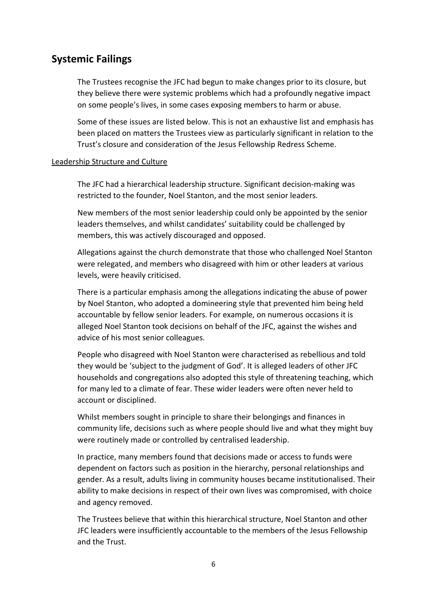## <span id="page-5-0"></span>**Systemic Failings**

The Trustees recognise the JFC had begun to make changes prior to its closure, but they believe there were systemic problems which had a profoundly negative impact on some people's lives, in some cases exposing members to harm or abuse.

Some of these issues are listed below. This is not an exhaustive list and emphasis has been placed on matters the Trustees view as particularly significant in relation to the Trust's closure and consideration of the Jesus Fellowship Redress Scheme.

### <span id="page-5-1"></span>Leadership Structure and Culture

The JFC had a hierarchical leadership structure. Significant decision-making was restricted to the founder, Noel Stanton, and the most senior leaders.

New members of the most senior leadership could only be appointed by the senior leaders themselves, and whilst candidates' suitability could be challenged by members, this was actively discouraged and opposed.

Allegations against the church demonstrate that those who challenged Noel Stanton were relegated, and members who disagreed with him or other leaders at various levels, were heavily criticised.

There is a particular emphasis among the allegations indicating the abuse of power by Noel Stanton, who adopted a domineering style that prevented him being held accountable by fellow senior leaders. For example, on numerous occasions it is alleged Noel Stanton took decisions on behalf of the JFC, against the wishes and advice of his most senior colleagues.

People who disagreed with Noel Stanton were characterised as rebellious and told they would be 'subject to the judgment of God'. It is alleged leaders of other JFC households and congregations also adopted this style of threatening teaching, which for many led to a climate of fear. These wider leaders were often never held to account or disciplined.

Whilst members sought in principle to share their belongings and finances in community life, decisions such as where people should live and what they might buy were routinely made or controlled by centralised leadership.

In practice, many members found that decisions made or access to funds were dependent on factors such as position in the hierarchy, personal relationships and gender. As a result, adults living in community houses became institutionalised. Their ability to make decisions in respect of their own lives was compromised, with choice and agency removed.

The Trustees believe that within this hierarchical structure, Noel Stanton and other JFC leaders were insufficiently accountable to the members of the Jesus Fellowship and the Trust.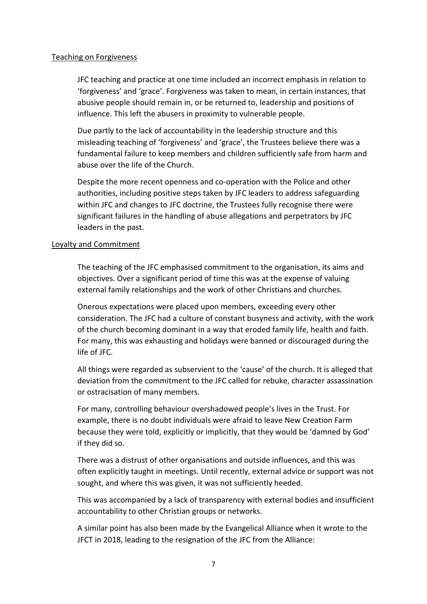### <span id="page-6-0"></span>Teaching on Forgiveness

JFC teaching and practice at one time included an incorrect emphasis in relation to 'forgiveness' and 'grace'. Forgiveness was taken to mean, in certain instances, that abusive people should remain in, or be returned to, leadership and positions of influence. This left the abusers in proximity to vulnerable people.

Due partly to the lack of accountability in the leadership structure and this misleading teaching of 'forgiveness' and 'grace', the Trustees believe there was a fundamental failure to keep members and children sufficiently safe from harm and abuse over the life of the Church.

Despite the more recent openness and co-operation with the Police and other authorities, including positive steps taken by JFC leaders to address safeguarding within JFC and changes to JFC doctrine, the Trustees fully recognise there were significant failures in the handling of abuse allegations and perpetrators by JFC leaders in the past.

#### <span id="page-6-1"></span>Loyalty and Commitment

The teaching of the JFC emphasised commitment to the organisation, its aims and objectives. Over a significant period of time this was at the expense of valuing external family relationships and the work of other Christians and churches.

Onerous expectations were placed upon members, exceeding every other consideration. The JFC had a culture of constant busyness and activity, with the work of the church becoming dominant in a way that eroded family life, health and faith. For many, this was exhausting and holidays were banned or discouraged during the life of JFC.

All things were regarded as subservient to the 'cause' of the church. It is alleged that deviation from the commitment to the JFC called for rebuke, character assassination or ostracisation of many members.

For many, controlling behaviour overshadowed people's lives in the Trust. For example, there is no doubt individuals were afraid to leave New Creation Farm because they were told, explicitly or implicitly, that they would be 'damned by God' if they did so.

There was a distrust of other organisations and outside influences, and this was often explicitly taught in meetings. Until recently, external advice or support was not sought, and where this was given, it was not sufficiently heeded.

This was accompanied by a lack of transparency with external bodies and insufficient accountability to other Christian groups or networks.

A similar point has also been made by the Evangelical Alliance when it wrote to the JFCT in 2018, leading to the resignation of the JFC from the Alliance: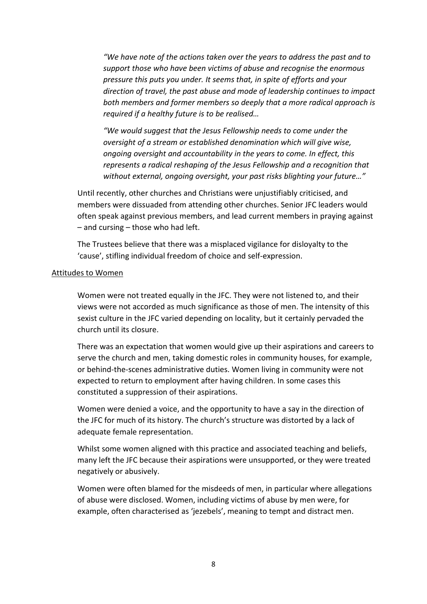*"We have note of the actions taken over the years to address the past and to support those who have been victims of abuse and recognise the enormous pressure this puts you under. It seems that, in spite of efforts and your direction of travel, the past abuse and mode of leadership continues to impact both members and former members so deeply that a more radical approach is required if a healthy future is to be realised…* 

*"We would suggest that the Jesus Fellowship needs to come under the oversight of a stream or established denomination which will give wise, ongoing oversight and accountability in the years to come. In effect, this represents a radical reshaping of the Jesus Fellowship and a recognition that without external, ongoing oversight, your past risks blighting your future…"*

Until recently, other churches and Christians were unjustifiably criticised, and members were dissuaded from attending other churches. Senior JFC leaders would often speak against previous members, and lead current members in praying against – and cursing – those who had left.

The Trustees believe that there was a misplaced vigilance for disloyalty to the 'cause', stifling individual freedom of choice and self-expression.

### <span id="page-7-0"></span>Attitudes to Women

Women were not treated equally in the JFC. They were not listened to, and their views were not accorded as much significance as those of men. The intensity of this sexist culture in the JFC varied depending on locality, but it certainly pervaded the church until its closure.

There was an expectation that women would give up their aspirations and careers to serve the church and men, taking domestic roles in community houses, for example, or behind-the-scenes administrative duties. Women living in community were not expected to return to employment after having children. In some cases this constituted a suppression of their aspirations.

Women were denied a voice, and the opportunity to have a say in the direction of the JFC for much of its history. The church's structure was distorted by a lack of adequate female representation.

Whilst some women aligned with this practice and associated teaching and beliefs, many left the JFC because their aspirations were unsupported, or they were treated negatively or abusively.

Women were often blamed for the misdeeds of men, in particular where allegations of abuse were disclosed. Women, including victims of abuse by men were, for example, often characterised as 'jezebels', meaning to tempt and distract men.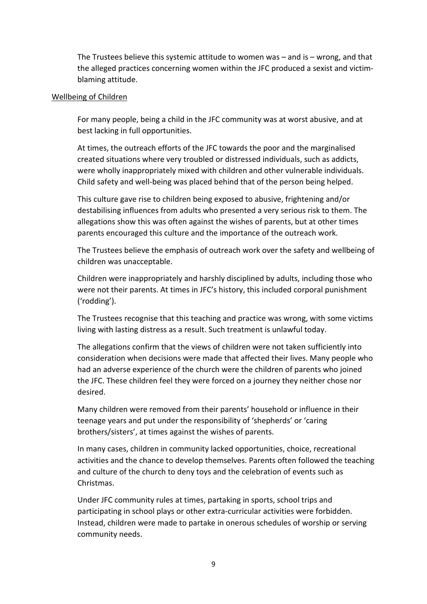The Trustees believe this systemic attitude to women was – and is – wrong, and that the alleged practices concerning women within the JFC produced a sexist and victimblaming attitude.

### <span id="page-8-0"></span>Wellbeing of Children

For many people, being a child in the JFC community was at worst abusive, and at best lacking in full opportunities.

At times, the outreach efforts of the JFC towards the poor and the marginalised created situations where very troubled or distressed individuals, such as addicts, were wholly inappropriately mixed with children and other vulnerable individuals. Child safety and well-being was placed behind that of the person being helped.

This culture gave rise to children being exposed to abusive, frightening and/or destabilising influences from adults who presented a very serious risk to them. The allegations show this was often against the wishes of parents, but at other times parents encouraged this culture and the importance of the outreach work.

The Trustees believe the emphasis of outreach work over the safety and wellbeing of children was unacceptable.

Children were inappropriately and harshly disciplined by adults, including those who were not their parents. At times in JFC's history, this included corporal punishment ('rodding').

The Trustees recognise that this teaching and practice was wrong, with some victims living with lasting distress as a result. Such treatment is unlawful today.

The allegations confirm that the views of children were not taken sufficiently into consideration when decisions were made that affected their lives. Many people who had an adverse experience of the church were the children of parents who joined the JFC. These children feel they were forced on a journey they neither chose nor desired.

Many children were removed from their parents' household or influence in their teenage years and put under the responsibility of 'shepherds' or 'caring brothers/sisters', at times against the wishes of parents.

In many cases, children in community lacked opportunities, choice, recreational activities and the chance to develop themselves. Parents often followed the teaching and culture of the church to deny toys and the celebration of events such as Christmas.

Under JFC community rules at times, partaking in sports, school trips and participating in school plays or other extra-curricular activities were forbidden. Instead, children were made to partake in onerous schedules of worship or serving community needs.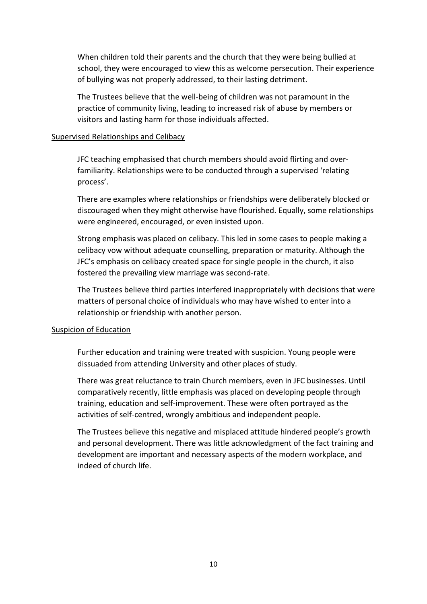When children told their parents and the church that they were being bullied at school, they were encouraged to view this as welcome persecution. Their experience of bullying was not properly addressed, to their lasting detriment.

The Trustees believe that the well-being of children was not paramount in the practice of community living, leading to increased risk of abuse by members or visitors and lasting harm for those individuals affected.

#### <span id="page-9-0"></span>Supervised Relationships and Celibacy

JFC teaching emphasised that church members should avoid flirting and overfamiliarity. Relationships were to be conducted through a supervised 'relating process'.

There are examples where relationships or friendships were deliberately blocked or discouraged when they might otherwise have flourished. Equally, some relationships were engineered, encouraged, or even insisted upon.

Strong emphasis was placed on celibacy. This led in some cases to people making a celibacy vow without adequate counselling, preparation or maturity. Although the JFC's emphasis on celibacy created space for single people in the church, it also fostered the prevailing view marriage was second-rate.

The Trustees believe third parties interfered inappropriately with decisions that were matters of personal choice of individuals who may have wished to enter into a relationship or friendship with another person.

### <span id="page-9-1"></span>Suspicion of Education

Further education and training were treated with suspicion. Young people were dissuaded from attending University and other places of study.

There was great reluctance to train Church members, even in JFC businesses. Until comparatively recently, little emphasis was placed on developing people through training, education and self-improvement. These were often portrayed as the activities of self-centred, wrongly ambitious and independent people.

The Trustees believe this negative and misplaced attitude hindered people's growth and personal development. There was little acknowledgment of the fact training and development are important and necessary aspects of the modern workplace, and indeed of church life.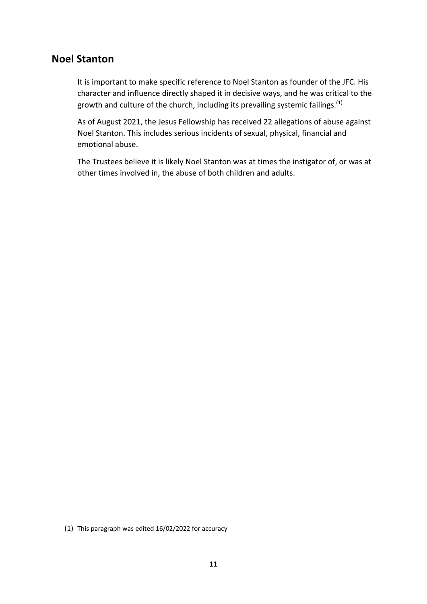## <span id="page-10-0"></span>**Noel Stanton**

It is important to make specific reference to Noel Stanton as founder of the JFC. His character and influence directly shaped it in decisive ways, and he was critical to the growth and culture of the church, including its prevailing systemic failings.<sup>(1)</sup>

As of August 2021, the Jesus Fellowship has received 22 allegations of abuse against Noel Stanton. This includes serious incidents of sexual, physical, financial and emotional abuse.

The Trustees believe it is likely Noel Stanton was at times the instigator of, or was at other times involved in, the abuse of both children and adults.

<span id="page-10-1"></span>(1) This paragraph was edited 16/02/2022 for accuracy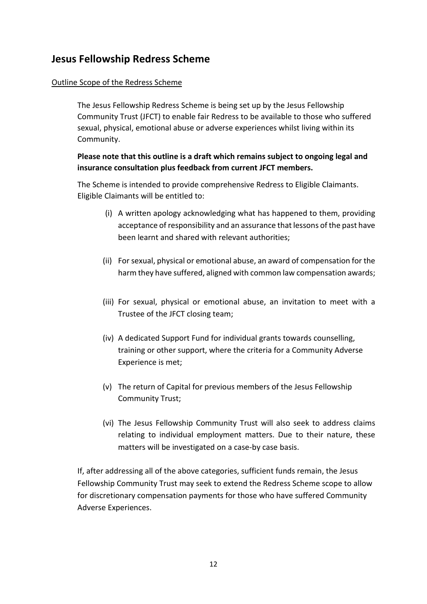## **Jesus Fellowship Redress Scheme**

### <span id="page-11-0"></span>Outline Scope of the Redress Scheme

The Jesus Fellowship Redress Scheme is being set up by the Jesus Fellowship Community Trust (JFCT) to enable fair Redress to be available to those who suffered sexual, physical, emotional abuse or adverse experiences whilst living within its Community.

## **Please note that this outline is a draft which remains subject to ongoing legal and insurance consultation plus feedback from current JFCT members.**

The Scheme is intended to provide comprehensive Redress to Eligible Claimants. Eligible Claimants will be entitled to:

- (i) A written apology acknowledging what has happened to them, providing acceptance of responsibility and an assurance that lessons of the past have been learnt and shared with relevant authorities;
- (ii) For sexual, physical or emotional abuse, an award of compensation for the harm they have suffered, aligned with common law compensation awards;
- (iii) For sexual, physical or emotional abuse, an invitation to meet with a Trustee of the JFCT closing team;
- (iv) A dedicated Support Fund for individual grants towards counselling, training or other support, where the criteria for a Community Adverse Experience is met;
- (v) The return of Capital for previous members of the Jesus Fellowship Community Trust;
- (vi) The Jesus Fellowship Community Trust will also seek to address claims relating to individual employment matters. Due to their nature, these matters will be investigated on a case-by case basis.

<span id="page-11-1"></span>If, after addressing all of the above categories, sufficient funds remain, the Jesus Fellowship Community Trust may seek to extend the Redress Scheme scope to allow for discretionary compensation payments for those who have suffered Community Adverse Experiences.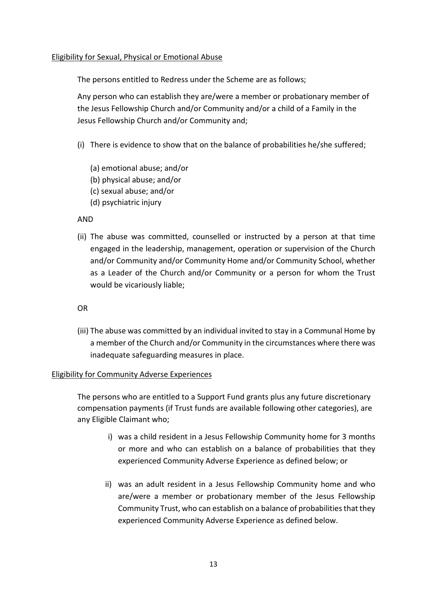### Eligibility for Sexual, Physical or Emotional Abuse

The persons entitled to Redress under the Scheme are as follows;

Any person who can establish they are/were a member or probationary member of the Jesus Fellowship Church and/or Community and/or a child of a Family in the Jesus Fellowship Church and/or Community and;

- (i) There is evidence to show that on the balance of probabilities he/she suffered;
	- (a) emotional abuse; and/or
	- (b) physical abuse; and/or
	- (c) sexual abuse; and/or
	- (d) psychiatric injury

AND

(ii) The abuse was committed, counselled or instructed by a person at that time engaged in the leadership, management, operation or supervision of the Church and/or Community and/or Community Home and/or Community School, whether as a Leader of the Church and/or Community or a person for whom the Trust would be vicariously liable;

OR

(iii) The abuse was committed by an individual invited to stay in a Communal Home by a member of the Church and/or Community in the circumstances where there was inadequate safeguarding measures in place.

### <span id="page-12-0"></span>Eligibility for Community Adverse Experiences

The persons who are entitled to a Support Fund grants plus any future discretionary compensation payments (if Trust funds are available following other categories), are any Eligible Claimant who;

- i) was a child resident in a Jesus Fellowship Community home for 3 months or more and who can establish on a balance of probabilities that they experienced Community Adverse Experience as defined below; or
- ii) was an adult resident in a Jesus Fellowship Community home and who are/were a member or probationary member of the Jesus Fellowship Community Trust, who can establish on a balance of probabilities that they experienced Community Adverse Experience as defined below.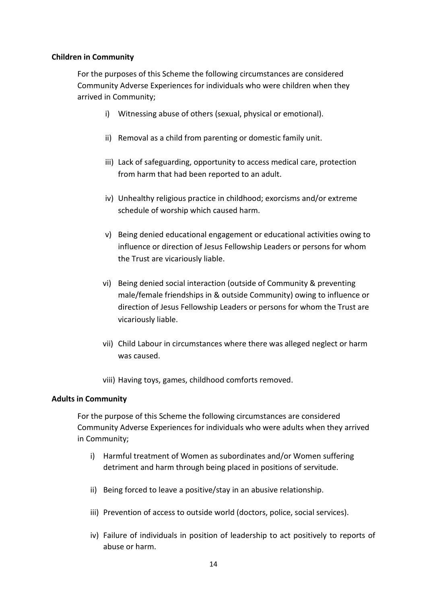### **Children in Community**

For the purposes of this Scheme the following circumstances are considered Community Adverse Experiences for individuals who were children when they arrived in Community;

- i) Witnessing abuse of others (sexual, physical or emotional).
- ii) Removal as a child from parenting or domestic family unit.
- iii) Lack of safeguarding, opportunity to access medical care, protection from harm that had been reported to an adult.
- iv) Unhealthy religious practice in childhood; exorcisms and/or extreme schedule of worship which caused harm.
- v) Being denied educational engagement or educational activities owing to influence or direction of Jesus Fellowship Leaders or persons for whom the Trust are vicariously liable.
- vi) Being denied social interaction (outside of Community & preventing male/female friendships in & outside Community) owing to influence or direction of Jesus Fellowship Leaders or persons for whom the Trust are vicariously liable.
- vii) Child Labour in circumstances where there was alleged neglect or harm was caused.
- viii) Having toys, games, childhood comforts removed.

### **Adults in Community**

For the purpose of this Scheme the following circumstances are considered Community Adverse Experiences for individuals who were adults when they arrived in Community;

- i) Harmful treatment of Women as subordinates and/or Women suffering detriment and harm through being placed in positions of servitude.
- ii) Being forced to leave a positive/stay in an abusive relationship.
- iii) Prevention of access to outside world (doctors, police, social services).
- iv) Failure of individuals in position of leadership to act positively to reports of abuse or harm.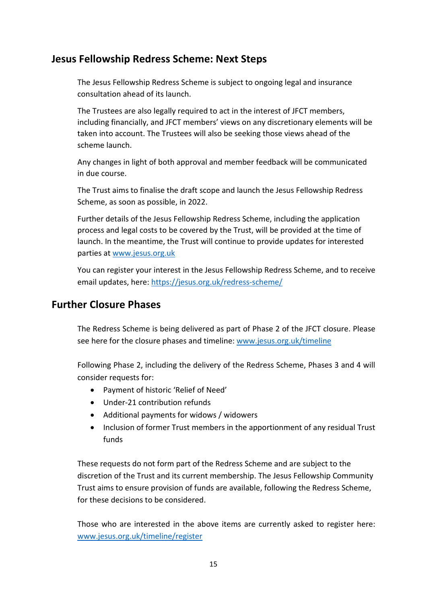## <span id="page-14-0"></span>**Jesus Fellowship Redress Scheme: Next Steps**

The Jesus Fellowship Redress Scheme is subject to ongoing legal and insurance consultation ahead of its launch.

The Trustees are also legally required to act in the interest of JFCT members, including financially, and JFCT members' views on any discretionary elements will be taken into account. The Trustees will also be seeking those views ahead of the scheme launch.

Any changes in light of both approval and member feedback will be communicated in due course.

The Trust aims to finalise the draft scope and launch the Jesus Fellowship Redress Scheme, as soon as possible, in 2022.

Further details of the Jesus Fellowship Redress Scheme, including the application process and legal costs to be covered by the Trust, will be provided at the time of launch. In the meantime, the Trust will continue to provide updates for interested parties at [www.jesus.org.uk](http://www.jesus.org.uk/)

You can register your interest in the Jesus Fellowship Redress Scheme, and to receive email updates, here:<https://jesus.org.uk/redress-scheme/>

## <span id="page-14-1"></span>**Further Closure Phases**

The Redress Scheme is being delivered as part of Phase 2 of the JFCT closure. Please see here for the closure phases and timeline: [www.jesus.org.uk/timeline](http://www.jesus.org.uk/timeline)

Following Phase 2, including the delivery of the Redress Scheme, Phases 3 and 4 will consider requests for:

- Payment of historic 'Relief of Need'
- Under-21 contribution refunds
- Additional payments for widows / widowers
- Inclusion of former Trust members in the apportionment of any residual Trust funds

These requests do not form part of the Redress Scheme and are subject to the discretion of the Trust and its current membership. The Jesus Fellowship Community Trust aims to ensure provision of funds are available, following the Redress Scheme, for these decisions to be considered.

Those who are interested in the above items are currently asked to register here: [www.jesus.org.uk/timeline/register](http://www.jesus.org.uk/timeline/register)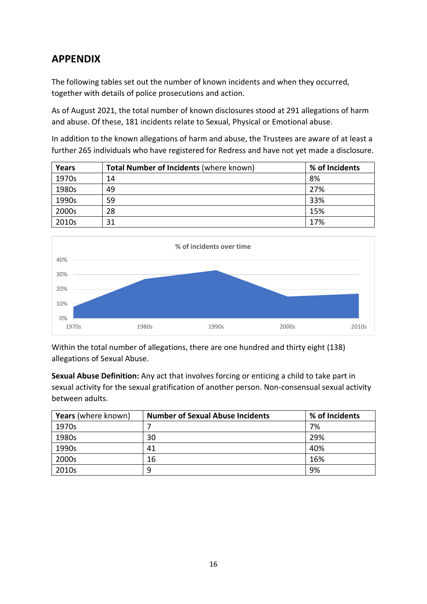# <span id="page-15-0"></span>**APPENDIX**

The following tables set out the number of known incidents and when they occurred, together with details of police prosecutions and action.

As of August 2021, the total number of known disclosures stood at 291 allegations of harm and abuse. Of these, 181 incidents relate to Sexual, Physical or Emotional abuse.

In addition to the known allegations of harm and abuse, the Trustees are aware of at least a further 265 individuals who have registered for Redress and have not yet made a disclosure.

| Years | <b>Total Number of Incidents (where known)</b> | % of Incidents |
|-------|------------------------------------------------|----------------|
| 1970s | 14                                             | 8%             |
| 1980s | 49                                             | 27%            |
| 1990s | 59                                             | 33%            |
| 2000s | 28                                             | 15%            |
| 2010s | 31                                             | 17%            |



Within the total number of allegations, there are one hundred and thirty eight (138) allegations of Sexual Abuse.

**Sexual Abuse Definition:** Any act that involves forcing or enticing a child to take part in sexual activity for the sexual gratification of another person. Non-consensual sexual activity between adults.

| <b>Years</b> (where known) | <b>Number of Sexual Abuse Incidents</b> | % of Incidents |
|----------------------------|-----------------------------------------|----------------|
| 1970s                      |                                         | 7%             |
| 1980s                      | 30                                      | 29%            |
| 1990s                      | 41                                      | 40%            |
| 2000s                      | 16                                      | 16%            |
| 2010s                      | 9                                       | 9%             |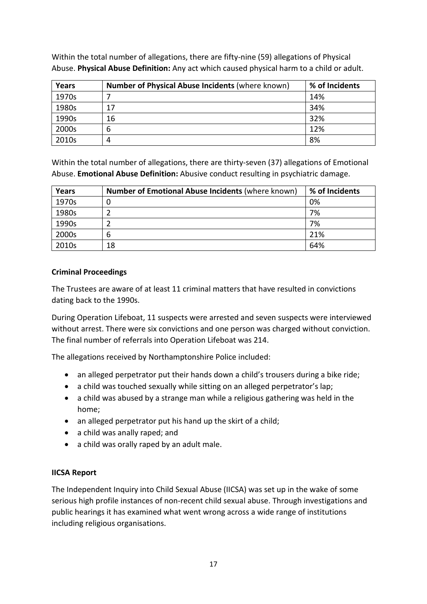| Years | Number of Physical Abuse Incidents (where known) | % of Incidents |
|-------|--------------------------------------------------|----------------|
| 1970s |                                                  | 14%            |
| 1980s | 17                                               | 34%            |
| 1990s | 16                                               | 32%            |
| 2000s | b                                                | 12%            |
| 2010s | 4                                                | 8%             |

Within the total number of allegations, there are fifty-nine (59) allegations of Physical Abuse. **Physical Abuse Definition:** Any act which caused physical harm to a child or adult.

Within the total number of allegations, there are thirty-seven (37) allegations of Emotional Abuse. **Emotional Abuse Definition:** Abusive conduct resulting in psychiatric damage.

| Years | <b>Number of Emotional Abuse Incidents (where known)</b> | % of Incidents |
|-------|----------------------------------------------------------|----------------|
| 1970s |                                                          | 0%             |
| 1980s |                                                          | 7%             |
| 1990s |                                                          | 7%             |
| 2000s | 6                                                        | 21%            |
| 2010s | 18                                                       | 64%            |

## **Criminal Proceedings**

The Trustees are aware of at least 11 criminal matters that have resulted in convictions dating back to the 1990s.

During Operation Lifeboat, 11 suspects were arrested and seven suspects were interviewed without arrest. There were six convictions and one person was charged without conviction. The final number of referrals into Operation Lifeboat was 214.

The allegations received by Northamptonshire Police included:

- an alleged perpetrator put their hands down a child's trousers during a bike ride;
- a child was touched sexually while sitting on an alleged perpetrator's lap;
- a child was abused by a strange man while a religious gathering was held in the home;
- an alleged perpetrator put his hand up the skirt of a child;
- a child was anally raped; and
- a child was orally raped by an adult male.

### **IICSA Report**

The Independent Inquiry into Child Sexual Abuse (IICSA) was set up in the wake of some serious high profile instances of non-recent child sexual abuse. Through investigations and public hearings it has examined what went wrong across a wide range of institutions including religious organisations.